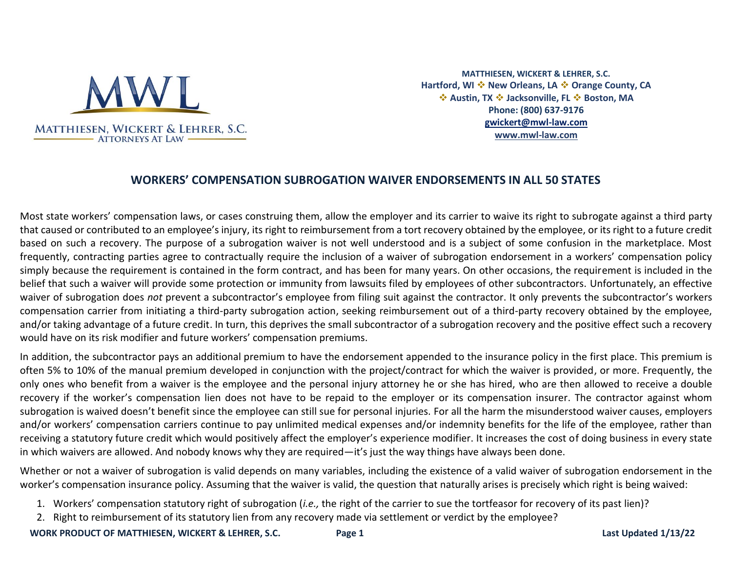

**MATTHIESEN, WICKERT & LEHRER, S.C. Hartford, WI** ❖ **New Orleans, LA** ❖ **Orange County, CA**  ❖ **Austin, TX** ❖ **Jacksonville, FL** ❖ **Boston, MA Phone: (800) 637-9176 [gwickert@mwl-law.com](mailto:gwickert@mwl-law.com) [www.mwl-law.com](http://www.mwl-law.com/)**

## **WORKERS' COMPENSATION SUBROGATION WAIVER ENDORSEMENTS IN ALL 50 STATES**

Most state workers' compensation laws, or cases construing them, allow the employer and its carrier to waive its right to subrogate against a third party that caused or contributed to an employee's injury, its right to reimbursement from a tort recovery obtained by the employee, or its right to a future credit based on such a recovery. The purpose of a subrogation waiver is not well understood and is a subject of some confusion in the marketplace. Most frequently, contracting parties agree to contractually require the inclusion of a waiver of subrogation endorsement in a workers' compensation policy simply because the requirement is contained in the form contract, and has been for many years. On other occasions, the requirement is included in the belief that such a waiver will provide some protection or immunity from lawsuits filed by employees of other subcontractors. Unfortunately, an effective waiver of subrogation does *not* prevent a subcontractor's employee from filing suit against the contractor. It only prevents the subcontractor's workers compensation carrier from initiating a third-party subrogation action, seeking reimbursement out of a third-party recovery obtained by the employee, and/or taking advantage of a future credit. In turn, this deprives the small subcontractor of a subrogation recovery and the positive effect such a recovery would have on its risk modifier and future workers' compensation premiums.

In addition, the subcontractor pays an additional premium to have the endorsement appended to the insurance policy in the first place. This premium is often 5% to 10% of the manual premium developed in conjunction with the project/contract for which the waiver is provided, or more. Frequently, the only ones who benefit from a waiver is the employee and the personal injury attorney he or she has hired, who are then allowed to receive a double recovery if the worker's compensation lien does not have to be repaid to the employer or its compensation insurer. The contractor against whom subrogation is waived doesn't benefit since the employee can still sue for personal injuries. For all the harm the misunderstood waiver causes, employers and/or workers' compensation carriers continue to pay unlimited medical expenses and/or indemnity benefits for the life of the employee, rather than receiving a statutory future credit which would positively affect the employer's experience modifier. It increases the cost of doing business in every state in which waivers are allowed. And nobody knows why they are required—it's just the way things have always been done.

Whether or not a waiver of subrogation is valid depends on many variables, including the existence of a valid waiver of subrogation endorsement in the worker's compensation insurance policy. Assuming that the waiver is valid, the question that naturally arises is precisely which right is being waived:

- 1. Workers' compensation statutory right of subrogation (*i.e.,* the right of the carrier to sue the tortfeasor for recovery of its past lien)?
- 2. Right to reimbursement of its statutory lien from any recovery made via settlement or verdict by the employee?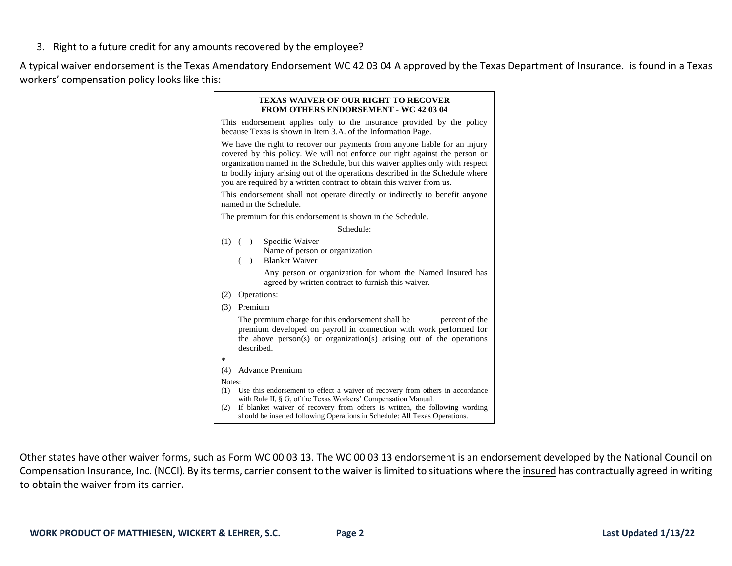3. Right to a future credit for any amounts recovered by the employee?

A typical waiver endorsement is the Texas Amendatory Endorsement WC 42 03 04 A approved by the Texas Department of Insurance. is found in a Texas workers' compensation policy looks like this:

| <b>TEXAS WAIVER OF OUR RIGHT TO RECOVER</b><br><b>FROM OTHERS ENDORSEMENT - WC 42 03 04</b>                                                                                                                                                                                                                                                                                                           |
|-------------------------------------------------------------------------------------------------------------------------------------------------------------------------------------------------------------------------------------------------------------------------------------------------------------------------------------------------------------------------------------------------------|
| This endorsement applies only to the insurance provided by the policy<br>because Texas is shown in Item 3.A. of the Information Page.                                                                                                                                                                                                                                                                 |
| We have the right to recover our payments from anyone liable for an injury<br>covered by this policy. We will not enforce our right against the person or<br>organization named in the Schedule, but this waiver applies only with respect<br>to bodily injury arising out of the operations described in the Schedule where<br>you are required by a written contract to obtain this waiver from us. |
| This endorsement shall not operate directly or indirectly to benefit anyone<br>named in the Schedule.                                                                                                                                                                                                                                                                                                 |
| The premium for this endorsement is shown in the Schedule.                                                                                                                                                                                                                                                                                                                                            |
| Schedule:                                                                                                                                                                                                                                                                                                                                                                                             |
| $(1)$ ( ) Specific Waiver<br>Name of person or organization<br><b>Blanket Waiver</b><br>( )                                                                                                                                                                                                                                                                                                           |
| Any person or organization for whom the Named Insured has<br>agreed by written contract to furnish this waiver.                                                                                                                                                                                                                                                                                       |
| Operations:<br>(2)                                                                                                                                                                                                                                                                                                                                                                                    |
| Premium<br>(3)                                                                                                                                                                                                                                                                                                                                                                                        |
| The premium charge for this endorsement shall be ______ percent of the<br>premium developed on payroll in connection with work performed for<br>the above person(s) or organization(s) arising out of the operations<br>described.                                                                                                                                                                    |
| *                                                                                                                                                                                                                                                                                                                                                                                                     |
| <b>Advance Premium</b><br>(4)                                                                                                                                                                                                                                                                                                                                                                         |
| Notes:                                                                                                                                                                                                                                                                                                                                                                                                |
| Use this endorsement to effect a waiver of recovery from others in accordance<br>(1)<br>with Rule II, § G, of the Texas Workers' Compensation Manual.                                                                                                                                                                                                                                                 |
| If blanket waiver of recovery from others is written, the following wording<br>(2)<br>should be inserted following Operations in Schedule: All Texas Operations.                                                                                                                                                                                                                                      |

Other states have other waiver forms, such as Form WC 00 03 13. The WC 00 03 13 endorsement is an endorsement developed by the National Council on Compensation Insurance, Inc. (NCCI). By its terms, carrier consent to the waiver is limited to situations where the insured has contractually agreed in writing to obtain the waiver from its carrier.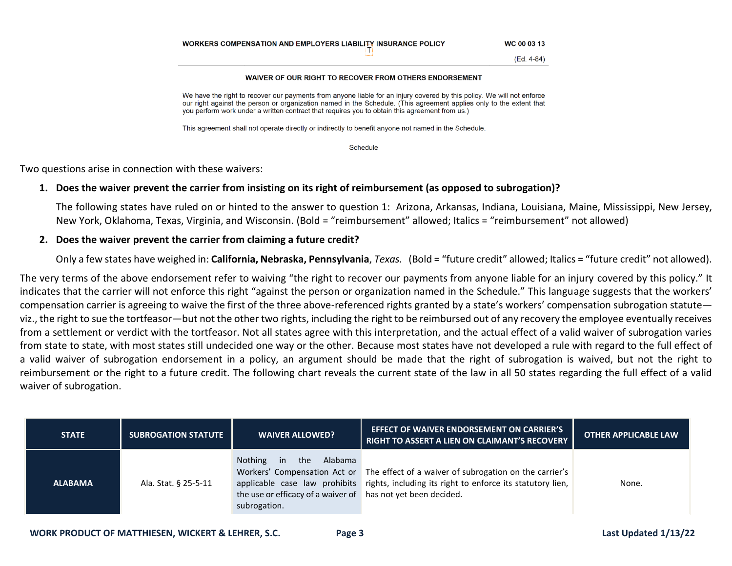| WORKERS COMPENSATION AND EMPLOYERS LIABILITY INSURANCE POLICY | WC 00 03 13 |
|---------------------------------------------------------------|-------------|
|                                                               | (Ed. 4-84)  |

## WAIVER OF OUR RIGHT TO RECOVER FROM OTHERS ENDORSEMENT

We have the right to recover our payments from anyone liable for an injury covered by this policy. We will not enforce our right against the person or organization named in the Schedule. (This agreement applies only to the extent that you perform work under a written contract that requires you to obtain this agreement from us.)

This agreement shall not operate directly or indirectly to benefit anyone not named in the Schedule.

Schedule

Two questions arise in connection with these waivers:

## **1. Does the waiver prevent the carrier from insisting on its right of reimbursement (as opposed to subrogation)?**

The following states have ruled on or hinted to the answer to question 1: Arizona, Arkansas, Indiana, Louisiana, Maine, Mississippi, New Jersey, New York, Oklahoma, Texas, Virginia, and Wisconsin. (Bold = "reimbursement" allowed; Italics = "reimbursement" not allowed)

## **2. Does the waiver prevent the carrier from claiming a future credit?**

Only a few states have weighed in: **California, Nebraska, Pennsylvania**, *Texas.* (Bold = "future credit" allowed; Italics = "future credit" not allowed).

The very terms of the above endorsement refer to waiving "the right to recover our payments from anyone liable for an injury covered by this policy." It indicates that the carrier will not enforce this right "against the person or organization named in the Schedule." This language suggests that the workers' compensation carrier is agreeing to waive the first of the three above-referenced rights granted by a state's workers' compensation subrogation statute viz., the right to sue the tortfeasor—but not the other two rights, including the right to be reimbursed out of any recovery the employee eventually receives from a settlement or verdict with the tortfeasor. Not all states agree with this interpretation, and the actual effect of a valid waiver of subrogation varies from state to state, with most states still undecided one way or the other. Because most states have not developed a rule with regard to the full effect of a valid waiver of subrogation endorsement in a policy, an argument should be made that the right of subrogation is waived, but not the right to reimbursement or the right to a future credit. The following chart reveals the current state of the law in all 50 states regarding the full effect of a valid waiver of subrogation.

| <b>STATE</b>   | <b>SUBROGATION STATUTE</b> | <b>WAIVER ALLOWED?</b>                                                                                 | <b>EFFECT OF WAIVER ENDORSEMENT ON CARRIER'S</b><br>RIGHT TO ASSERT A LIEN ON CLAIMANT'S RECOVERY                                                                               | <b>OTHER APPLICABLE LAW</b> |
|----------------|----------------------------|--------------------------------------------------------------------------------------------------------|---------------------------------------------------------------------------------------------------------------------------------------------------------------------------------|-----------------------------|
| <b>ALABAMA</b> | Ala. Stat. § 25-5-11       | Nothing in the Alabama<br>the use or efficacy of a waiver of has not yet been decided.<br>subrogation. | Workers' Compensation Act or The effect of a waiver of subrogation on the carrier's<br>applicable case law prohibits rights, including its right to enforce its statutory lien, | None.                       |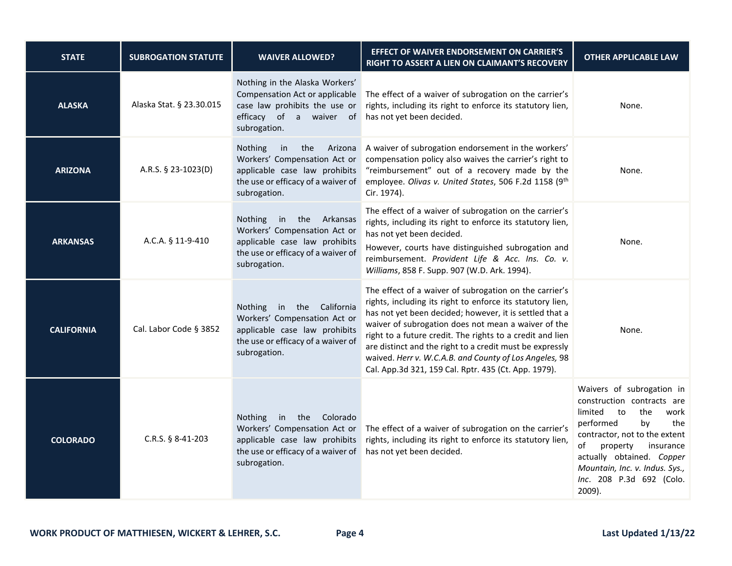| <b>STATE</b>      | <b>SUBROGATION STATUTE</b> | <b>WAIVER ALLOWED?</b>                                                                                                                                      | EFFECT OF WAIVER ENDORSEMENT ON CARRIER'S<br>RIGHT TO ASSERT A LIEN ON CLAIMANT'S RECOVERY                                                                                                                                                                                                                                                                                                                                                                                        | <b>OTHER APPLICABLE LAW</b>                                                                                                                                                                                                                                                            |
|-------------------|----------------------------|-------------------------------------------------------------------------------------------------------------------------------------------------------------|-----------------------------------------------------------------------------------------------------------------------------------------------------------------------------------------------------------------------------------------------------------------------------------------------------------------------------------------------------------------------------------------------------------------------------------------------------------------------------------|----------------------------------------------------------------------------------------------------------------------------------------------------------------------------------------------------------------------------------------------------------------------------------------|
| <b>ALASKA</b>     | Alaska Stat. § 23.30.015   | Nothing in the Alaska Workers'<br>Compensation Act or applicable<br>case law prohibits the use or<br>efficacy of a waiver of<br>subrogation.                | The effect of a waiver of subrogation on the carrier's<br>rights, including its right to enforce its statutory lien,<br>has not yet been decided.                                                                                                                                                                                                                                                                                                                                 | None.                                                                                                                                                                                                                                                                                  |
| <b>ARIZONA</b>    | A.R.S. § 23-1023(D)        | Nothing<br>the<br>in<br>Arizona<br>Workers' Compensation Act or<br>applicable case law prohibits<br>the use or efficacy of a waiver of<br>subrogation.      | A waiver of subrogation endorsement in the workers'<br>compensation policy also waives the carrier's right to<br>"reimbursement" out of a recovery made by the<br>employee. Olivas v. United States, 506 F.2d 1158 (9th<br>Cir. 1974).                                                                                                                                                                                                                                            | None.                                                                                                                                                                                                                                                                                  |
| <b>ARKANSAS</b>   | A.C.A. § 11-9-410          | <b>Nothing</b><br>the Arkansas<br>in<br>Workers' Compensation Act or<br>applicable case law prohibits<br>the use or efficacy of a waiver of<br>subrogation. | The effect of a waiver of subrogation on the carrier's<br>rights, including its right to enforce its statutory lien,<br>has not yet been decided.<br>However, courts have distinguished subrogation and<br>reimbursement. Provident Life & Acc. Ins. Co. v.<br>Williams, 858 F. Supp. 907 (W.D. Ark. 1994).                                                                                                                                                                       | None.                                                                                                                                                                                                                                                                                  |
| <b>CALIFORNIA</b> | Cal. Labor Code § 3852     | Nothing in the California<br>Workers' Compensation Act or<br>applicable case law prohibits<br>the use or efficacy of a waiver of<br>subrogation.            | The effect of a waiver of subrogation on the carrier's<br>rights, including its right to enforce its statutory lien,<br>has not yet been decided; however, it is settled that a<br>waiver of subrogation does not mean a waiver of the<br>right to a future credit. The rights to a credit and lien<br>are distinct and the right to a credit must be expressly<br>waived. Herr v. W.C.A.B. and County of Los Angeles, 98<br>Cal. App.3d 321, 159 Cal. Rptr. 435 (Ct. App. 1979). | None.                                                                                                                                                                                                                                                                                  |
| <b>COLORADO</b>   | C.R.S. § 8-41-203          | <b>Nothing</b><br>in the Colorado<br>Workers' Compensation Act or<br>applicable case law prohibits<br>the use or efficacy of a waiver of<br>subrogation.    | The effect of a waiver of subrogation on the carrier's<br>rights, including its right to enforce its statutory lien,<br>has not yet been decided.                                                                                                                                                                                                                                                                                                                                 | Waivers of subrogation in<br>construction contracts are<br>limited<br>to<br>the<br>work<br>performed<br>the<br>by<br>contractor, not to the extent<br>of<br>property<br>insurance<br>actually obtained. Copper<br>Mountain, Inc. v. Indus. Sys.,<br>Inc. 208 P.3d 692 (Colo.<br>2009). |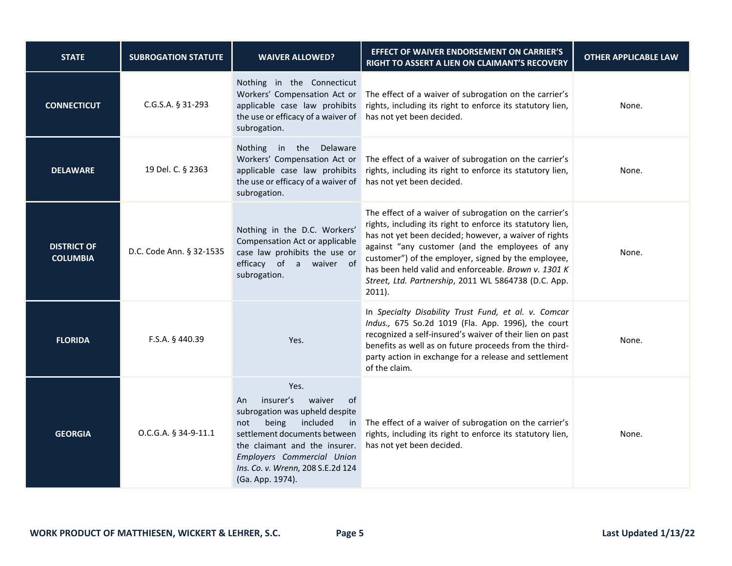| <b>STATE</b>                          | <b>SUBROGATION STATUTE</b> | <b>WAIVER ALLOWED?</b>                                                                                                                                                                                                                                              | EFFECT OF WAIVER ENDORSEMENT ON CARRIER'S<br>RIGHT TO ASSERT A LIEN ON CLAIMANT'S RECOVERY                                                                                                                                                                                                                                                                                                                           | <b>OTHER APPLICABLE LAW</b> |
|---------------------------------------|----------------------------|---------------------------------------------------------------------------------------------------------------------------------------------------------------------------------------------------------------------------------------------------------------------|----------------------------------------------------------------------------------------------------------------------------------------------------------------------------------------------------------------------------------------------------------------------------------------------------------------------------------------------------------------------------------------------------------------------|-----------------------------|
| <b>CONNECTICUT</b>                    | C.G.S.A. § 31-293          | Nothing in the Connecticut<br>Workers' Compensation Act or<br>applicable case law prohibits<br>the use or efficacy of a waiver of<br>subrogation.                                                                                                                   | The effect of a waiver of subrogation on the carrier's<br>rights, including its right to enforce its statutory lien,<br>has not yet been decided.                                                                                                                                                                                                                                                                    | None.                       |
| <b>DELAWARE</b>                       | 19 Del. C. § 2363          | Nothing in the Delaware<br>Workers' Compensation Act or<br>applicable case law prohibits<br>the use or efficacy of a waiver of<br>subrogation.                                                                                                                      | The effect of a waiver of subrogation on the carrier's<br>rights, including its right to enforce its statutory lien,<br>has not yet been decided.                                                                                                                                                                                                                                                                    | None.                       |
| <b>DISTRICT OF</b><br><b>COLUMBIA</b> | D.C. Code Ann. § 32-1535   | Nothing in the D.C. Workers'<br>Compensation Act or applicable<br>case law prohibits the use or<br>efficacy of a waiver of<br>subrogation.                                                                                                                          | The effect of a waiver of subrogation on the carrier's<br>rights, including its right to enforce its statutory lien,<br>has not yet been decided; however, a waiver of rights<br>against "any customer (and the employees of any<br>customer") of the employer, signed by the employee,<br>has been held valid and enforceable. Brown v. 1301 K<br>Street, Ltd. Partnership, 2011 WL 5864738 (D.C. App.<br>$2011$ ). | None.                       |
| <b>FLORIDA</b>                        | F.S.A. § 440.39            | Yes.                                                                                                                                                                                                                                                                | In Specialty Disability Trust Fund, et al. v. Comcar<br>Indus., 675 So.2d 1019 (Fla. App. 1996), the court<br>recognized a self-insured's waiver of their lien on past<br>benefits as well as on future proceeds from the third-<br>party action in exchange for a release and settlement<br>of the claim.                                                                                                           | None.                       |
| <b>GEORGIA</b>                        | O.C.G.A. § 34-9-11.1       | Yes.<br>insurer's<br>waiver<br>0f<br>An<br>subrogation was upheld despite<br>included<br>being<br>not<br>in<br>settlement documents between<br>the claimant and the insurer.<br>Employers Commercial Union<br>Ins. Co. v. Wrenn, 208 S.E.2d 124<br>(Ga. App. 1974). | The effect of a waiver of subrogation on the carrier's<br>rights, including its right to enforce its statutory lien,<br>has not yet been decided.                                                                                                                                                                                                                                                                    | None.                       |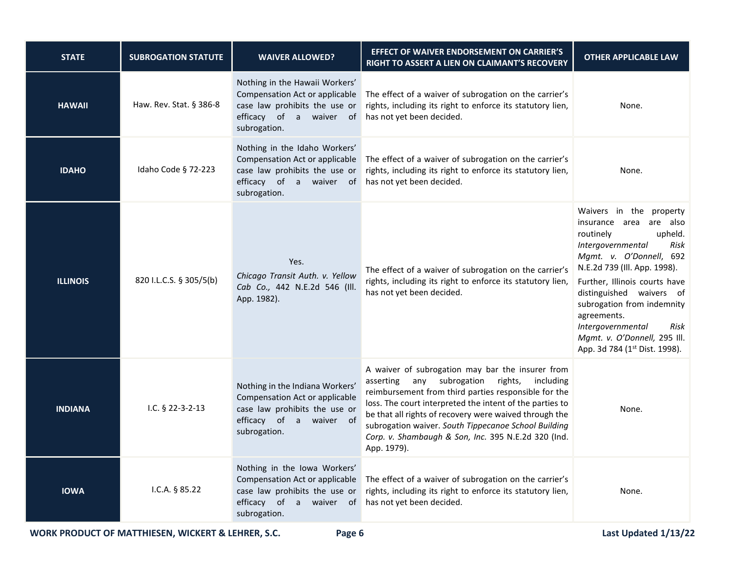| <b>STATE</b>    | <b>SUBROGATION STATUTE</b> | <b>WAIVER ALLOWED?</b>                                                                                                                        | <b>EFFECT OF WAIVER ENDORSEMENT ON CARRIER'S</b><br>RIGHT TO ASSERT A LIEN ON CLAIMANT'S RECOVERY                                                                                                                                                                                                                                                                                                              | <b>OTHER APPLICABLE LAW</b>                                                                                                                                                                                                                                                                                                                                                |
|-----------------|----------------------------|-----------------------------------------------------------------------------------------------------------------------------------------------|----------------------------------------------------------------------------------------------------------------------------------------------------------------------------------------------------------------------------------------------------------------------------------------------------------------------------------------------------------------------------------------------------------------|----------------------------------------------------------------------------------------------------------------------------------------------------------------------------------------------------------------------------------------------------------------------------------------------------------------------------------------------------------------------------|
| <b>HAWAII</b>   | Haw. Rev. Stat. § 386-8    | Nothing in the Hawaii Workers'<br>Compensation Act or applicable<br>case law prohibits the use or<br>efficacy of a waiver of<br>subrogation.  | The effect of a waiver of subrogation on the carrier's<br>rights, including its right to enforce its statutory lien,<br>has not yet been decided.                                                                                                                                                                                                                                                              | None.                                                                                                                                                                                                                                                                                                                                                                      |
| <b>IDAHO</b>    | Idaho Code § 72-223        | Nothing in the Idaho Workers'<br>Compensation Act or applicable<br>case law prohibits the use or<br>efficacy of a waiver of<br>subrogation.   | The effect of a waiver of subrogation on the carrier's<br>rights, including its right to enforce its statutory lien,<br>has not yet been decided.                                                                                                                                                                                                                                                              | None.                                                                                                                                                                                                                                                                                                                                                                      |
| <b>ILLINOIS</b> | 820 I.L.C.S. § 305/5(b)    | Yes.<br>Chicago Transit Auth. v. Yellow<br>Cab Co., 442 N.E.2d 546 (Ill.<br>App. 1982).                                                       | The effect of a waiver of subrogation on the carrier's<br>rights, including its right to enforce its statutory lien,<br>has not yet been decided.                                                                                                                                                                                                                                                              | Waivers in the property<br>insurance area are also<br>routinely<br>upheld.<br>Intergovernmental<br>Risk<br>Mgmt. v. O'Donnell, 692<br>N.E.2d 739 (Ill. App. 1998).<br>Further, Illinois courts have<br>distinguished waivers of<br>subrogation from indemnity<br>agreements.<br>Intergovernmental<br>Risk<br>Mgmt. v. O'Donnell, 295 Ill.<br>App. 3d 784 (1st Dist. 1998). |
| <b>INDIANA</b>  | I.C. $$22-3-2-13$          | Nothing in the Indiana Workers'<br>Compensation Act or applicable<br>case law prohibits the use or<br>efficacy of a waiver of<br>subrogation. | A waiver of subrogation may bar the insurer from<br>any subrogation rights, including<br>asserting<br>reimbursement from third parties responsible for the<br>loss. The court interpreted the intent of the parties to<br>be that all rights of recovery were waived through the<br>subrogation waiver. South Tippecanoe School Building<br>Corp. v. Shambaugh & Son, Inc. 395 N.E.2d 320 (Ind.<br>App. 1979). | None.                                                                                                                                                                                                                                                                                                                                                                      |
| <b>IOWA</b>     | I.C.A. $§ 85.22$           | Nothing in the Iowa Workers'<br>Compensation Act or applicable<br>case law prohibits the use or<br>efficacy of a waiver of<br>subrogation.    | The effect of a waiver of subrogation on the carrier's<br>rights, including its right to enforce its statutory lien,<br>has not yet been decided.                                                                                                                                                                                                                                                              | None.                                                                                                                                                                                                                                                                                                                                                                      |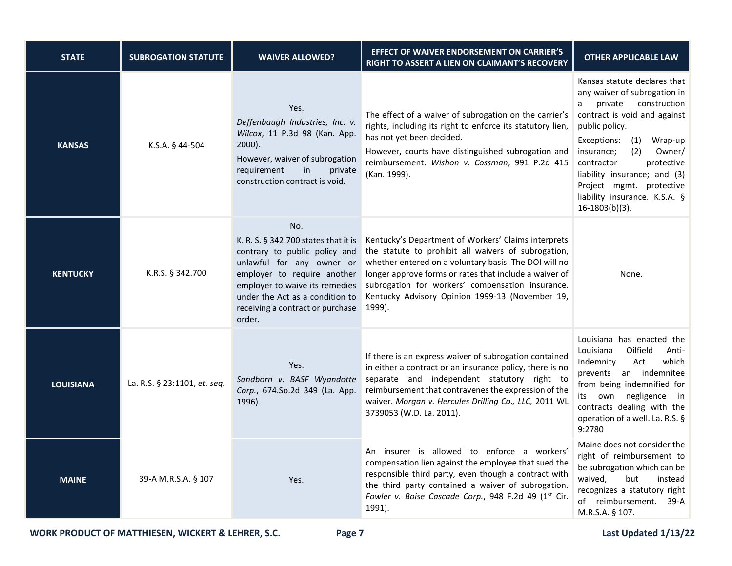| <b>STATE</b>     | <b>SUBROGATION STATUTE</b>   | <b>WAIVER ALLOWED?</b>                                                                                                                                                                                                                                      | EFFECT OF WAIVER ENDORSEMENT ON CARRIER'S<br>RIGHT TO ASSERT A LIEN ON CLAIMANT'S RECOVERY                                                                                                                                                                                                                                                     | <b>OTHER APPLICABLE LAW</b>                                                                                                                                                                                                                                                                                                                                  |
|------------------|------------------------------|-------------------------------------------------------------------------------------------------------------------------------------------------------------------------------------------------------------------------------------------------------------|------------------------------------------------------------------------------------------------------------------------------------------------------------------------------------------------------------------------------------------------------------------------------------------------------------------------------------------------|--------------------------------------------------------------------------------------------------------------------------------------------------------------------------------------------------------------------------------------------------------------------------------------------------------------------------------------------------------------|
| <b>KANSAS</b>    | K.S.A. § 44-504              | Yes.<br>Deffenbaugh Industries, Inc. v.<br>Wilcox, 11 P.3d 98 (Kan. App.<br>$2000$ ).<br>However, waiver of subrogation<br>requirement<br>in<br>private<br>construction contract is void.                                                                   | The effect of a waiver of subrogation on the carrier's<br>rights, including its right to enforce its statutory lien,<br>has not yet been decided.<br>However, courts have distinguished subrogation and<br>reimbursement. Wishon v. Cossman, 991 P.2d 415<br>(Kan. 1999).                                                                      | Kansas statute declares that<br>any waiver of subrogation in<br>private<br>construction<br>a<br>contract is void and against<br>public policy.<br>Exceptions:<br>(1)<br>Wrap-up<br>(2)<br>Owner/<br>insurance;<br>contractor<br>protective<br>liability insurance; and (3)<br>Project mgmt. protective<br>liability insurance. K.S.A. §<br>$16-1803(b)(3)$ . |
| <b>KENTUCKY</b>  | K.R.S. § 342.700             | No.<br>K. R. S. § 342.700 states that it is<br>contrary to public policy and<br>unlawful for any owner or<br>employer to require another<br>employer to waive its remedies<br>under the Act as a condition to<br>receiving a contract or purchase<br>order. | Kentucky's Department of Workers' Claims interprets<br>the statute to prohibit all waivers of subrogation,<br>whether entered on a voluntary basis. The DOI will no<br>longer approve forms or rates that include a waiver of<br>subrogation for workers' compensation insurance.<br>Kentucky Advisory Opinion 1999-13 (November 19,<br>1999). | None.                                                                                                                                                                                                                                                                                                                                                        |
| <b>LOUISIANA</b> | La. R.S. § 23:1101, et. seq. | Yes.<br>Sandborn v. BASF Wyandotte<br>Corp., 674.So.2d 349 (La. App.<br>1996).                                                                                                                                                                              | If there is an express waiver of subrogation contained<br>in either a contract or an insurance policy, there is no<br>separate and independent statutory right to<br>reimbursement that contravenes the expression of the<br>waiver. Morgan v. Hercules Drilling Co., LLC, 2011 WL<br>3739053 (W.D. La. 2011).                                 | Louisiana has enacted the<br>Louisiana<br>Oilfield<br>Anti-<br>which<br>Indemnity<br>Act<br>prevents an indemnitee<br>from being indemnified for<br>negligence in<br>its own<br>contracts dealing with the<br>operation of a well. La. R.S. §<br>9:2780                                                                                                      |
| <b>MAINE</b>     | 39-A M.R.S.A. § 107          | Yes.                                                                                                                                                                                                                                                        | An insurer is allowed to enforce a workers'<br>compensation lien against the employee that sued the<br>responsible third party, even though a contract with<br>the third party contained a waiver of subrogation.<br>Fowler v. Boise Cascade Corp., 948 F.2d 49 (1st Cir.<br>1991).                                                            | Maine does not consider the<br>right of reimbursement to<br>be subrogation which can be<br>waived,<br>but<br>instead<br>recognizes a statutory right<br>of reimbursement.<br>$39-A$<br>M.R.S.A. § 107.                                                                                                                                                       |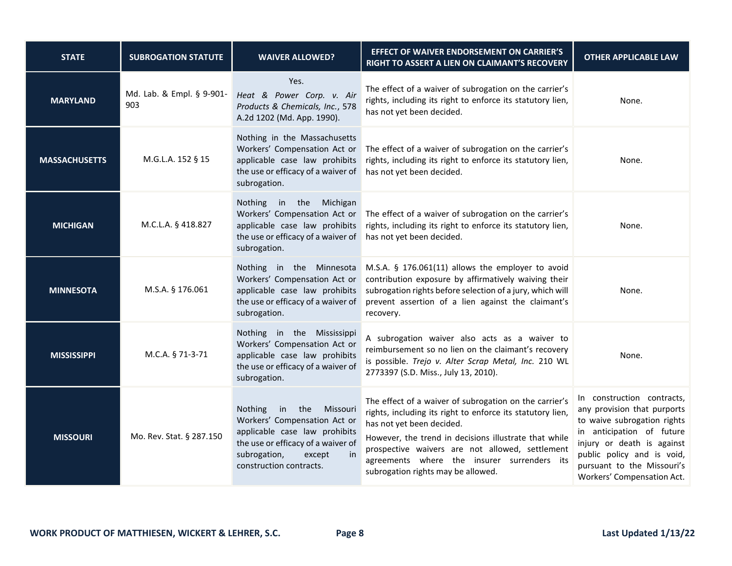| <b>STATE</b>         | <b>SUBROGATION STATUTE</b>       | <b>WAIVER ALLOWED?</b>                                                                                                                                                                             | EFFECT OF WAIVER ENDORSEMENT ON CARRIER'S<br>RIGHT TO ASSERT A LIEN ON CLAIMANT'S RECOVERY                                                                                                                                                                                                                                                         | <b>OTHER APPLICABLE LAW</b>                                                                                                                                                                                                                   |
|----------------------|----------------------------------|----------------------------------------------------------------------------------------------------------------------------------------------------------------------------------------------------|----------------------------------------------------------------------------------------------------------------------------------------------------------------------------------------------------------------------------------------------------------------------------------------------------------------------------------------------------|-----------------------------------------------------------------------------------------------------------------------------------------------------------------------------------------------------------------------------------------------|
| <b>MARYLAND</b>      | Md. Lab. & Empl. § 9-901-<br>903 | Yes.<br>Heat & Power Corp. v. Air<br>Products & Chemicals, Inc., 578<br>A.2d 1202 (Md. App. 1990).                                                                                                 | The effect of a waiver of subrogation on the carrier's<br>rights, including its right to enforce its statutory lien,<br>has not yet been decided.                                                                                                                                                                                                  | None.                                                                                                                                                                                                                                         |
| <b>MASSACHUSETTS</b> | M.G.L.A. 152 § 15                | Nothing in the Massachusetts<br>Workers' Compensation Act or<br>applicable case law prohibits<br>the use or efficacy of a waiver of<br>subrogation.                                                | The effect of a waiver of subrogation on the carrier's<br>rights, including its right to enforce its statutory lien,<br>has not yet been decided.                                                                                                                                                                                                  | None.                                                                                                                                                                                                                                         |
| <b>MICHIGAN</b>      | M.C.L.A. § 418.827               | Nothing in the Michigan<br>Workers' Compensation Act or<br>applicable case law prohibits<br>the use or efficacy of a waiver of<br>subrogation.                                                     | The effect of a waiver of subrogation on the carrier's<br>rights, including its right to enforce its statutory lien,<br>has not yet been decided.                                                                                                                                                                                                  | None.                                                                                                                                                                                                                                         |
| <b>MINNESOTA</b>     | M.S.A. § 176.061                 | Nothing in the Minnesota<br>Workers' Compensation Act or<br>applicable case law prohibits<br>the use or efficacy of a waiver of<br>subrogation.                                                    | M.S.A. § 176.061(11) allows the employer to avoid<br>contribution exposure by affirmatively waiving their<br>subrogation rights before selection of a jury, which will<br>prevent assertion of a lien against the claimant's<br>recovery.                                                                                                          | None.                                                                                                                                                                                                                                         |
| <b>MISSISSIPPI</b>   | M.C.A. § 71-3-71                 | Nothing in the Mississippi<br>Workers' Compensation Act or<br>applicable case law prohibits<br>the use or efficacy of a waiver of<br>subrogation.                                                  | A subrogation waiver also acts as a waiver to<br>reimbursement so no lien on the claimant's recovery<br>is possible. Trejo v. Alter Scrap Metal, Inc. 210 WL<br>2773397 (S.D. Miss., July 13, 2010).                                                                                                                                               | None.                                                                                                                                                                                                                                         |
| <b>MISSOURI</b>      | Mo. Rev. Stat. § 287.150         | the<br>Nothing<br>in<br>Missouri<br>Workers' Compensation Act or<br>applicable case law prohibits<br>the use or efficacy of a waiver of<br>subrogation,<br>except<br>in<br>construction contracts. | The effect of a waiver of subrogation on the carrier's<br>rights, including its right to enforce its statutory lien,<br>has not yet been decided.<br>However, the trend in decisions illustrate that while<br>prospective waivers are not allowed, settlement<br>agreements where the insurer surrenders its<br>subrogation rights may be allowed. | In construction contracts,<br>any provision that purports<br>to waive subrogation rights<br>in anticipation of future<br>injury or death is against<br>public policy and is void,<br>pursuant to the Missouri's<br>Workers' Compensation Act. |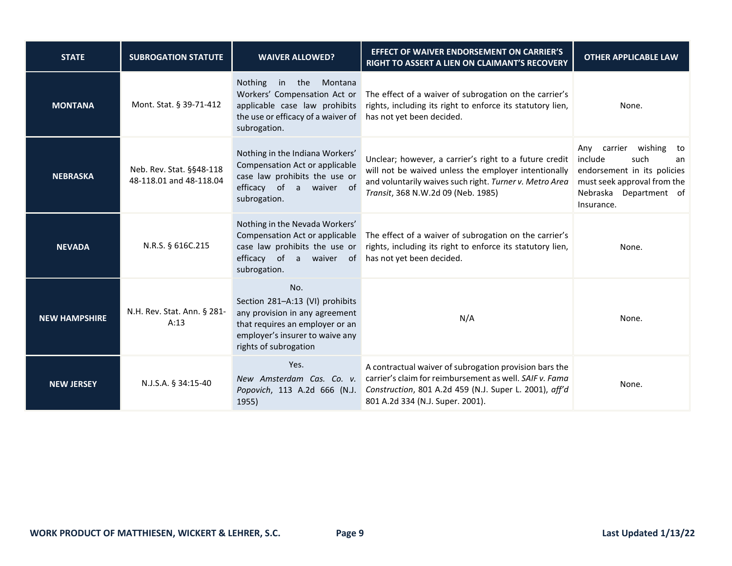| <b>STATE</b>         | <b>SUBROGATION STATUTE</b>                          | <b>WAIVER ALLOWED?</b>                                                                                                                                                  | <b>EFFECT OF WAIVER ENDORSEMENT ON CARRIER'S</b><br>RIGHT TO ASSERT A LIEN ON CLAIMANT'S RECOVERY                                                                                                               | <b>OTHER APPLICABLE LAW</b>                                                                                                                              |
|----------------------|-----------------------------------------------------|-------------------------------------------------------------------------------------------------------------------------------------------------------------------------|-----------------------------------------------------------------------------------------------------------------------------------------------------------------------------------------------------------------|----------------------------------------------------------------------------------------------------------------------------------------------------------|
| <b>MONTANA</b>       | Mont. Stat. § 39-71-412                             | <b>Nothing</b><br>the<br>Montana<br>in<br>Workers' Compensation Act or<br>applicable case law prohibits<br>the use or efficacy of a waiver of<br>subrogation.           | The effect of a waiver of subrogation on the carrier's<br>rights, including its right to enforce its statutory lien,<br>has not yet been decided.                                                               | None.                                                                                                                                                    |
| <b>NEBRASKA</b>      | Neb. Rev. Stat. §§48-118<br>48-118.01 and 48-118.04 | Nothing in the Indiana Workers'<br>Compensation Act or applicable<br>case law prohibits the use or<br>efficacy of a waiver of<br>subrogation.                           | Unclear; however, a carrier's right to a future credit<br>will not be waived unless the employer intentionally<br>and voluntarily waives such right. Turner v. Metro Area<br>Transit, 368 N.W.2d 09 (Neb. 1985) | Any carrier wishing<br>to<br>include<br>such<br>an<br>endorsement in its policies<br>must seek approval from the<br>Nebraska Department of<br>Insurance. |
| <b>NEVADA</b>        | N.R.S. § 616C.215                                   | Nothing in the Nevada Workers'<br>Compensation Act or applicable<br>case law prohibits the use or<br>efficacy of a waiver of<br>subrogation.                            | The effect of a waiver of subrogation on the carrier's<br>rights, including its right to enforce its statutory lien,<br>has not yet been decided.                                                               | None.                                                                                                                                                    |
| <b>NEW HAMPSHIRE</b> | N.H. Rev. Stat. Ann. § 281-<br>A:13                 | No.<br>Section 281-A:13 (VI) prohibits<br>any provision in any agreement<br>that requires an employer or an<br>employer's insurer to waive any<br>rights of subrogation | N/A                                                                                                                                                                                                             | None.                                                                                                                                                    |
| <b>NEW JERSEY</b>    | N.J.S.A. § 34:15-40                                 | Yes.<br>New Amsterdam Cas. Co. v.<br>Popovich, 113 A.2d 666 (N.J.<br>1955)                                                                                              | A contractual waiver of subrogation provision bars the<br>carrier's claim for reimbursement as well. SAIF v. Fama<br>Construction, 801 A.2d 459 (N.J. Super L. 2001), aff'd<br>801 A.2d 334 (N.J. Super. 2001). | None.                                                                                                                                                    |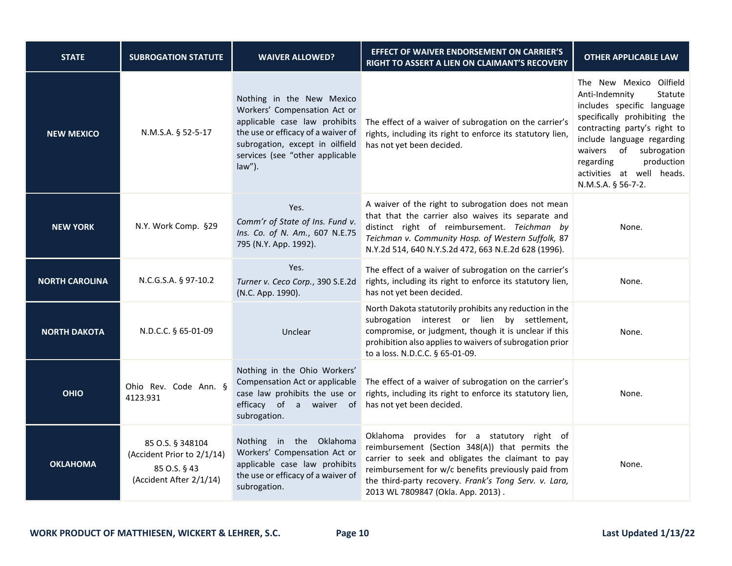| <b>STATE</b>          | <b>SUBROGATION STATUTE</b>                                                                | <b>WAIVER ALLOWED?</b>                                                                                                                                                                                              | <b>EFFECT OF WAIVER ENDORSEMENT ON CARRIER'S</b><br>RIGHT TO ASSERT A LIEN ON CLAIMANT'S RECOVERY                                                                                                                                                                                                        | <b>OTHER APPLICABLE LAW</b>                                                                                                                                                                                                                                                              |
|-----------------------|-------------------------------------------------------------------------------------------|---------------------------------------------------------------------------------------------------------------------------------------------------------------------------------------------------------------------|----------------------------------------------------------------------------------------------------------------------------------------------------------------------------------------------------------------------------------------------------------------------------------------------------------|------------------------------------------------------------------------------------------------------------------------------------------------------------------------------------------------------------------------------------------------------------------------------------------|
| <b>NEW MEXICO</b>     | N.M.S.A. § 52-5-17                                                                        | Nothing in the New Mexico<br>Workers' Compensation Act or<br>applicable case law prohibits<br>the use or efficacy of a waiver of<br>subrogation, except in oilfield<br>services (see "other applicable<br>$law$ "). | The effect of a waiver of subrogation on the carrier's<br>rights, including its right to enforce its statutory lien,<br>has not yet been decided.                                                                                                                                                        | The New Mexico Oilfield<br>Anti-Indemnity<br>Statute<br>includes specific language<br>specifically prohibiting the<br>contracting party's right to<br>include language regarding<br>waivers of subrogation<br>production<br>regarding<br>activities at well heads.<br>N.M.S.A. § 56-7-2. |
| <b>NEW YORK</b>       | N.Y. Work Comp. §29                                                                       | Yes.<br>Comm'r of State of Ins. Fund v.<br>Ins. Co. of N. Am., 607 N.E.75<br>795 (N.Y. App. 1992).                                                                                                                  | A waiver of the right to subrogation does not mean<br>that that the carrier also waives its separate and<br>distinct right of reimbursement. Teichman by<br>Teichman v. Community Hosp. of Western Suffolk, 87<br>N.Y.2d 514, 640 N.Y.S.2d 472, 663 N.E.2d 628 (1996).                                   | None.                                                                                                                                                                                                                                                                                    |
| <b>NORTH CAROLINA</b> | N.C.G.S.A. § 97-10.2                                                                      | Yes.<br>Turner v. Ceco Corp., 390 S.E.2d<br>(N.C. App. 1990).                                                                                                                                                       | The effect of a waiver of subrogation on the carrier's<br>rights, including its right to enforce its statutory lien,<br>has not yet been decided.                                                                                                                                                        | None.                                                                                                                                                                                                                                                                                    |
| <b>NORTH DAKOTA</b>   | N.D.C.C. § 65-01-09                                                                       | Unclear                                                                                                                                                                                                             | North Dakota statutorily prohibits any reduction in the<br>subrogation interest or lien by settlement,<br>compromise, or judgment, though it is unclear if this<br>prohibition also applies to waivers of subrogation prior<br>to a loss. N.D.C.C. § 65-01-09.                                           | None.                                                                                                                                                                                                                                                                                    |
| <b>OHIO</b>           | Ohio Rev. Code Ann. §<br>4123.931                                                         | Nothing in the Ohio Workers'<br>Compensation Act or applicable<br>case law prohibits the use or<br>efficacy of a waiver of<br>subrogation.                                                                          | The effect of a waiver of subrogation on the carrier's<br>rights, including its right to enforce its statutory lien,<br>has not yet been decided.                                                                                                                                                        | None.                                                                                                                                                                                                                                                                                    |
| <b>OKLAHOMA</b>       | 85 O.S. § 348104<br>(Accident Prior to 2/1/14)<br>85 O.S. § 43<br>(Accident After 2/1/14) | Nothing in the Oklahoma<br>Workers' Compensation Act or<br>applicable case law prohibits<br>the use or efficacy of a waiver of<br>subrogation.                                                                      | Oklahoma provides for a statutory right of<br>reimbursement (Section 348(A)) that permits the<br>carrier to seek and obligates the claimant to pay<br>reimbursement for w/c benefits previously paid from<br>the third-party recovery. Frank's Tong Serv. v. Lara,<br>2013 WL 7809847 (Okla. App. 2013). | None.                                                                                                                                                                                                                                                                                    |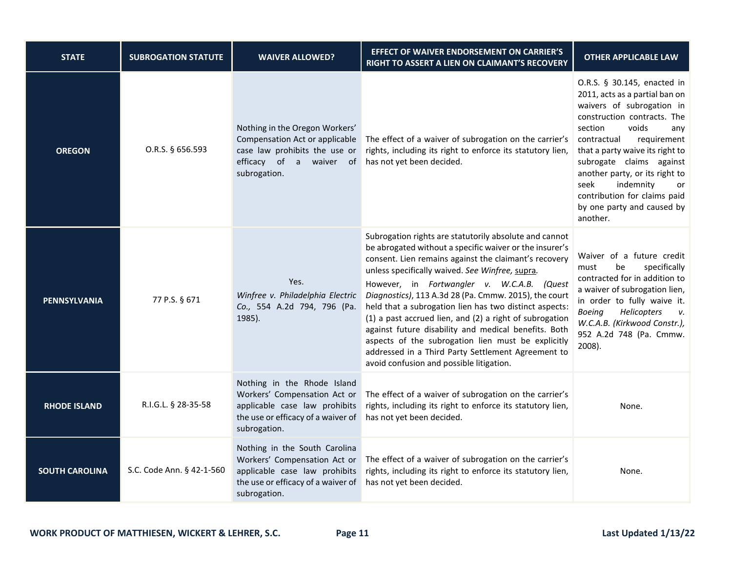| <b>STATE</b>          | <b>SUBROGATION STATUTE</b> | <b>WAIVER ALLOWED?</b>                                                                                                                               | <b>EFFECT OF WAIVER ENDORSEMENT ON CARRIER'S</b><br>RIGHT TO ASSERT A LIEN ON CLAIMANT'S RECOVERY                                                                                                                                                                                                                                                                                                                                                                                                                                                                                                                                                                         | <b>OTHER APPLICABLE LAW</b>                                                                                                                                                                                                                                                                                                                                                              |
|-----------------------|----------------------------|------------------------------------------------------------------------------------------------------------------------------------------------------|---------------------------------------------------------------------------------------------------------------------------------------------------------------------------------------------------------------------------------------------------------------------------------------------------------------------------------------------------------------------------------------------------------------------------------------------------------------------------------------------------------------------------------------------------------------------------------------------------------------------------------------------------------------------------|------------------------------------------------------------------------------------------------------------------------------------------------------------------------------------------------------------------------------------------------------------------------------------------------------------------------------------------------------------------------------------------|
| <b>OREGON</b>         | O.R.S. § 656.593           | Nothing in the Oregon Workers'<br>Compensation Act or applicable<br>case law prohibits the use or<br>efficacy of a waiver of<br>subrogation.         | The effect of a waiver of subrogation on the carrier's<br>rights, including its right to enforce its statutory lien,<br>has not yet been decided.                                                                                                                                                                                                                                                                                                                                                                                                                                                                                                                         | O.R.S. § 30.145, enacted in<br>2011, acts as a partial ban on<br>waivers of subrogation in<br>construction contracts. The<br>section<br>voids<br>any<br>requirement<br>contractual<br>that a party waive its right to<br>subrogate claims against<br>another party, or its right to<br>seek<br>indemnity<br>or<br>contribution for claims paid<br>by one party and caused by<br>another. |
| <b>PENNSYLVANIA</b>   | 77 P.S. § 671              | Yes.<br>Winfree v. Philadelphia Electric<br>Co., 554 A.2d 794, 796 (Pa.<br>1985).                                                                    | Subrogation rights are statutorily absolute and cannot<br>be abrogated without a specific waiver or the insurer's<br>consent. Lien remains against the claimant's recovery<br>unless specifically waived. See Winfree, supra.<br>However, in Fortwangler v. W.C.A.B. (Quest<br>Diagnostics), 113 A.3d 28 (Pa. Cmmw. 2015), the court<br>held that a subrogation lien has two distinct aspects:<br>(1) a past accrued lien, and (2) a right of subrogation<br>against future disability and medical benefits. Both<br>aspects of the subrogation lien must be explicitly<br>addressed in a Third Party Settlement Agreement to<br>avoid confusion and possible litigation. | Waiver of a future credit<br>specifically<br>must<br>be<br>contracted for in addition to<br>a waiver of subrogation lien,<br>in order to fully waive it.<br>Helicopters<br><b>Boeing</b><br>ν.<br>W.C.A.B. (Kirkwood Constr.),<br>952 A.2d 748 (Pa. Cmmw.<br>2008).                                                                                                                      |
| <b>RHODE ISLAND</b>   | R.I.G.L. § 28-35-58        | Nothing in the Rhode Island<br>Workers' Compensation Act or<br>applicable case law prohibits<br>the use or efficacy of a waiver of<br>subrogation.   | The effect of a waiver of subrogation on the carrier's<br>rights, including its right to enforce its statutory lien,<br>has not yet been decided.                                                                                                                                                                                                                                                                                                                                                                                                                                                                                                                         | None.                                                                                                                                                                                                                                                                                                                                                                                    |
| <b>SOUTH CAROLINA</b> | S.C. Code Ann. § 42-1-560  | Nothing in the South Carolina<br>Workers' Compensation Act or<br>applicable case law prohibits<br>the use or efficacy of a waiver of<br>subrogation. | The effect of a waiver of subrogation on the carrier's<br>rights, including its right to enforce its statutory lien,<br>has not yet been decided.                                                                                                                                                                                                                                                                                                                                                                                                                                                                                                                         | None.                                                                                                                                                                                                                                                                                                                                                                                    |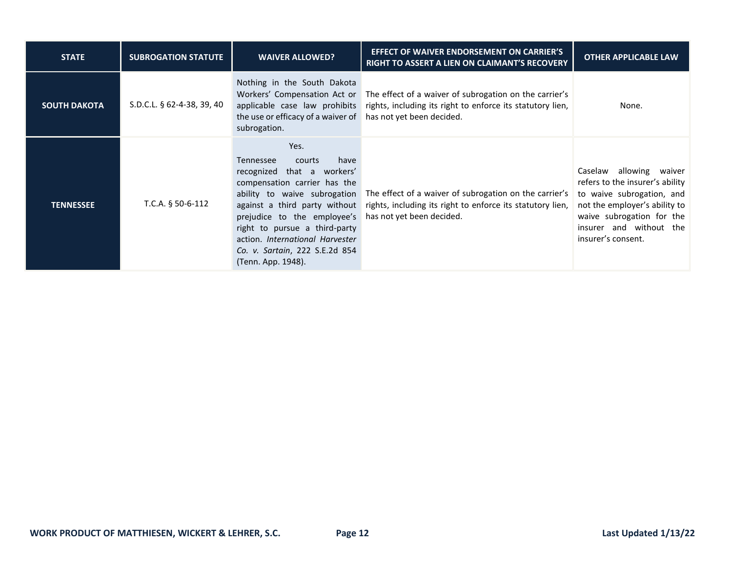| <b>STATE</b>        | <b>SUBROGATION STATUTE</b> | <b>WAIVER ALLOWED?</b>                                                                                                                                                                                                                                                                        | <b>EFFECT OF WAIVER ENDORSEMENT ON CARRIER'S</b><br><b>RIGHT TO ASSERT A LIEN ON CLAIMANT'S RECOVERY</b>                                                                       | <b>OTHER APPLICABLE LAW</b>                                                                                                                                                                                  |
|---------------------|----------------------------|-----------------------------------------------------------------------------------------------------------------------------------------------------------------------------------------------------------------------------------------------------------------------------------------------|--------------------------------------------------------------------------------------------------------------------------------------------------------------------------------|--------------------------------------------------------------------------------------------------------------------------------------------------------------------------------------------------------------|
| <b>SOUTH DAKOTA</b> | S.D.C.L. § 62-4-38, 39, 40 | Nothing in the South Dakota<br>applicable case law prohibits<br>the use or efficacy of a waiver of<br>subrogation.                                                                                                                                                                            | Workers' Compensation Act or The effect of a waiver of subrogation on the carrier's<br>rights, including its right to enforce its statutory lien,<br>has not yet been decided. | None.                                                                                                                                                                                                        |
| <b>TENNESSEE</b>    | T.C.A. $§$ 50-6-112        | Yes.<br>have<br>Tennessee<br>courts<br>recognized that a workers'<br>compensation carrier has the<br>against a third party without<br>prejudice to the employee's<br>right to pursue a third-party<br>action. International Harvester<br>Co. v. Sartain, 222 S.E.2d 854<br>(Tenn. App. 1948). | ability to waive subrogation The effect of a waiver of subrogation on the carrier's<br>rights, including its right to enforce its statutory lien,<br>has not yet been decided. | allowing<br>Caselaw<br>waiver<br>refers to the insurer's ability<br>to waive subrogation, and<br>not the employer's ability to<br>waive subrogation for the<br>insurer and without the<br>insurer's consent. |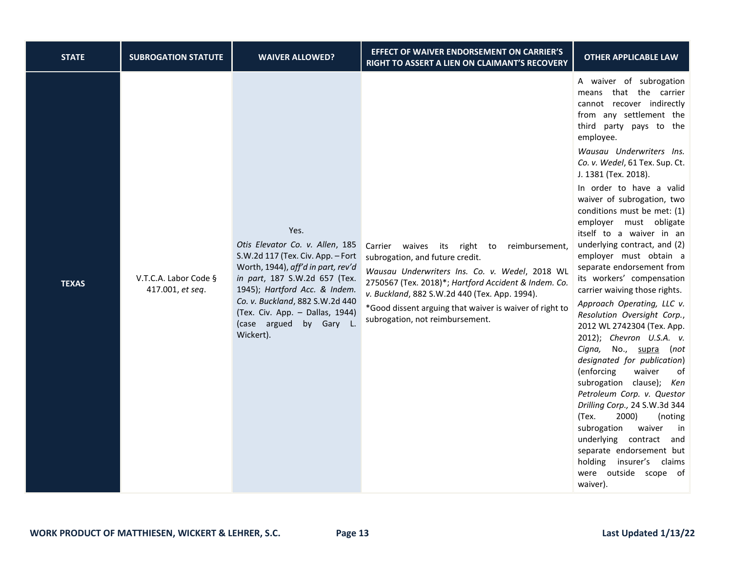| <b>STATE</b> | <b>SUBROGATION STATUTE</b>                | <b>WAIVER ALLOWED?</b>                                                                                                                                                                                                                                  | <b>EFFECT OF WAIVER ENDORSEMENT ON CARRIER'S</b><br>RIGHT TO ASSERT A LIEN ON CLAIMANT'S RECOVERY                                                                                                                                                                                        | <b>OTHER APPLICABLE LAW</b>                                                                                                                                                                                                                                                                                                                                                                                                                                                                                                                                                                |
|--------------|-------------------------------------------|---------------------------------------------------------------------------------------------------------------------------------------------------------------------------------------------------------------------------------------------------------|------------------------------------------------------------------------------------------------------------------------------------------------------------------------------------------------------------------------------------------------------------------------------------------|--------------------------------------------------------------------------------------------------------------------------------------------------------------------------------------------------------------------------------------------------------------------------------------------------------------------------------------------------------------------------------------------------------------------------------------------------------------------------------------------------------------------------------------------------------------------------------------------|
|              |                                           | Yes.<br>Otis Elevator Co. v. Allen, 185                                                                                                                                                                                                                 | waives its<br>right to reimbursement,<br>Carrier                                                                                                                                                                                                                                         | A waiver of subrogation<br>means that the carrier<br>cannot recover indirectly<br>from any settlement the<br>third party pays to the<br>employee.<br>Wausau Underwriters Ins.<br>Co. v. Wedel, 61 Tex. Sup. Ct.<br>J. 1381 (Tex. 2018).<br>In order to have a valid<br>waiver of subrogation, two<br>conditions must be met: (1)<br>employer must obligate<br>itself to a waiver in an<br>underlying contract, and (2)<br>employer must obtain a                                                                                                                                           |
| <b>TEXAS</b> | V.T.C.A. Labor Code §<br>417.001, et seq. | S.W.2d 117 (Tex. Civ. App. - Fort<br>Worth, 1944), aff'd in part, rev'd<br>in part, 187 S.W.2d 657 (Tex.<br>1945); Hartford Acc. & Indem.<br>Co. v. Buckland, 882 S.W.2d 440<br>(Tex. Civ. App. - Dallas, 1944)<br>(case argued by Gary L.<br>Wickert). | subrogation, and future credit.<br>Wausau Underwriters Ins. Co. v. Wedel, 2018 WL<br>2750567 (Tex. 2018)*; Hartford Accident & Indem. Co.<br>v. Buckland, 882 S.W.2d 440 (Tex. App. 1994).<br>*Good dissent arguing that waiver is waiver of right to<br>subrogation, not reimbursement. | separate endorsement from<br>its workers' compensation<br>carrier waiving those rights.<br>Approach Operating, LLC v.<br>Resolution Oversight Corp.,<br>2012 WL 2742304 (Tex. App.<br>2012); Chevron U.S.A. v.<br>Cigna, No., supra (not<br>designated for publication)<br>(enforcing<br>waiver<br>of<br>subrogation clause); Ken<br>Petroleum Corp. v. Questor<br>Drilling Corp., 24 S.W.3d 344<br>(Tex.<br>2000)<br>(noting<br>subrogation<br>waiver<br>in<br>underlying contract<br>and<br>separate endorsement but<br>holding<br>insurer's claims<br>were outside scope of<br>waiver). |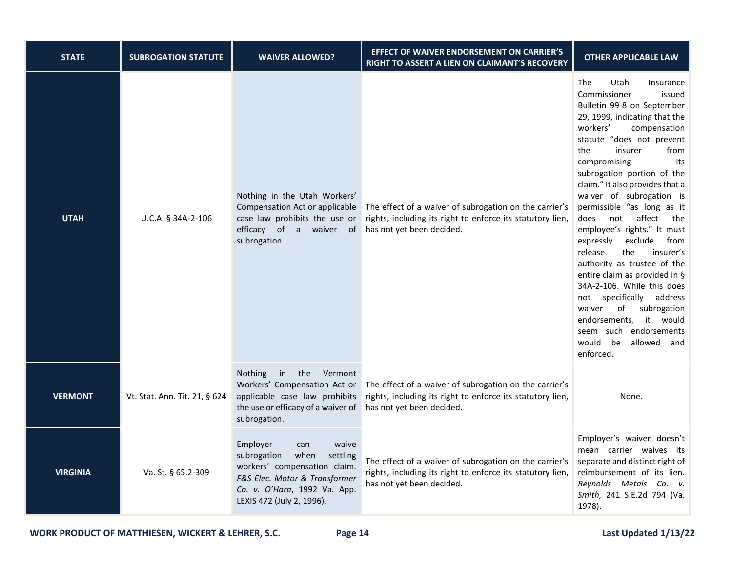| <b>STATE</b>    | <b>SUBROGATION STATUTE</b>    | <b>WAIVER ALLOWED?</b>                                                                                                                                                                    | EFFECT OF WAIVER ENDORSEMENT ON CARRIER'S<br>RIGHT TO ASSERT A LIEN ON CLAIMANT'S RECOVERY                                                        | <b>OTHER APPLICABLE LAW</b>                                                                                                                                                                                                                                                                                                                                                                                                                                                                                                                                                                                                                                                                                                                            |
|-----------------|-------------------------------|-------------------------------------------------------------------------------------------------------------------------------------------------------------------------------------------|---------------------------------------------------------------------------------------------------------------------------------------------------|--------------------------------------------------------------------------------------------------------------------------------------------------------------------------------------------------------------------------------------------------------------------------------------------------------------------------------------------------------------------------------------------------------------------------------------------------------------------------------------------------------------------------------------------------------------------------------------------------------------------------------------------------------------------------------------------------------------------------------------------------------|
| <b>UTAH</b>     | U.C.A. § 34A-2-106            | Nothing in the Utah Workers'<br>Compensation Act or applicable<br>case law prohibits the use or<br>efficacy of a waiver of<br>subrogation.                                                | The effect of a waiver of subrogation on the carrier's<br>rights, including its right to enforce its statutory lien,<br>has not yet been decided. | <b>The</b><br>Utah<br>Insurance<br>Commissioner<br>issued<br>Bulletin 99-8 on September<br>29, 1999, indicating that the<br>workers'<br>compensation<br>statute "does not prevent<br>insurer<br>the<br>from<br>compromising<br>its<br>subrogation portion of the<br>claim." It also provides that a<br>waiver of subrogation is<br>permissible "as long as it<br>not<br>affect<br>does<br>the<br>employee's rights." It must<br>exclude<br>from<br>expressly<br>the<br>release<br>insurer's<br>authority as trustee of the<br>entire claim as provided in §<br>34A-2-106. While this does<br>not specifically<br>address<br>waiver<br>of<br>subrogation<br>endorsements, it would<br>seem such endorsements<br>would be<br>allowed<br>and<br>enforced. |
| <b>VERMONT</b>  | Vt. Stat. Ann. Tit. 21, § 624 | in the Vermont<br>Nothing<br>Workers' Compensation Act or<br>applicable case law prohibits<br>the use or efficacy of a waiver of<br>subrogation.                                          | The effect of a waiver of subrogation on the carrier's<br>rights, including its right to enforce its statutory lien,<br>has not yet been decided. | None.                                                                                                                                                                                                                                                                                                                                                                                                                                                                                                                                                                                                                                                                                                                                                  |
| <b>VIRGINIA</b> | Va. St. § 65.2-309            | waive<br>Employer<br>can<br>subrogation<br>when<br>settling<br>workers' compensation claim.<br>F&S Elec. Motor & Transformer<br>Co. v. O'Hara, 1992 Va. App.<br>LEXIS 472 (July 2, 1996). | The effect of a waiver of subrogation on the carrier's<br>rights, including its right to enforce its statutory lien,<br>has not yet been decided. | Employer's waiver doesn't<br>mean carrier waives its<br>separate and distinct right of<br>reimbursement of its lien.<br>Reynolds Metals Co. v.<br>Smith, 241 S.E.2d 794 (Va.<br>1978).                                                                                                                                                                                                                                                                                                                                                                                                                                                                                                                                                                 |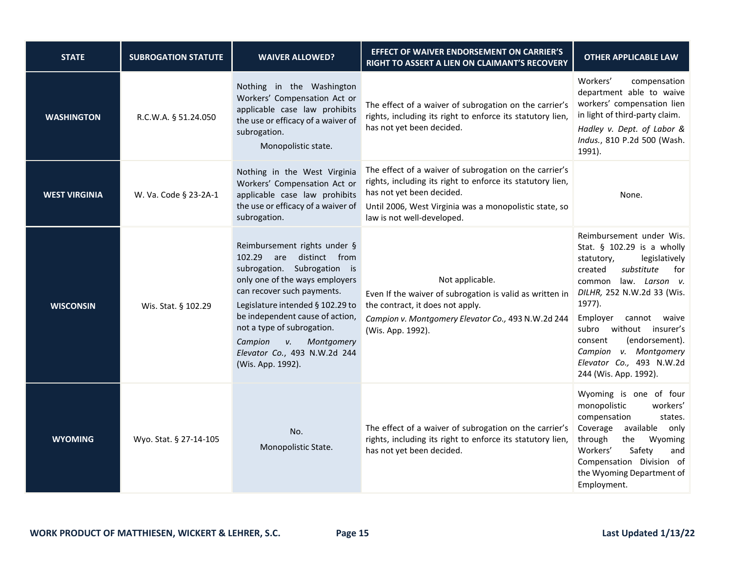| <b>STATE</b>         | <b>SUBROGATION STATUTE</b> | <b>WAIVER ALLOWED?</b>                                                                                                                                                                                                                                                                                                                           | EFFECT OF WAIVER ENDORSEMENT ON CARRIER'S<br>RIGHT TO ASSERT A LIEN ON CLAIMANT'S RECOVERY                                                                                                                                                | <b>OTHER APPLICABLE LAW</b>                                                                                                                                                                                                                                                                                                                                 |
|----------------------|----------------------------|--------------------------------------------------------------------------------------------------------------------------------------------------------------------------------------------------------------------------------------------------------------------------------------------------------------------------------------------------|-------------------------------------------------------------------------------------------------------------------------------------------------------------------------------------------------------------------------------------------|-------------------------------------------------------------------------------------------------------------------------------------------------------------------------------------------------------------------------------------------------------------------------------------------------------------------------------------------------------------|
| <b>WASHINGTON</b>    | R.C.W.A. § 51.24.050       | Nothing in the Washington<br>Workers' Compensation Act or<br>applicable case law prohibits<br>the use or efficacy of a waiver of<br>subrogation.<br>Monopolistic state.                                                                                                                                                                          | The effect of a waiver of subrogation on the carrier's<br>rights, including its right to enforce its statutory lien,<br>has not yet been decided.                                                                                         | Workers'<br>compensation<br>department able to waive<br>workers' compensation lien<br>in light of third-party claim.<br>Hadley v. Dept. of Labor &<br>Indus., 810 P.2d 500 (Wash.<br>1991).                                                                                                                                                                 |
| <b>WEST VIRGINIA</b> | W. Va. Code § 23-2A-1      | Nothing in the West Virginia<br>Workers' Compensation Act or<br>applicable case law prohibits<br>the use or efficacy of a waiver of<br>subrogation.                                                                                                                                                                                              | The effect of a waiver of subrogation on the carrier's<br>rights, including its right to enforce its statutory lien,<br>has not yet been decided.<br>Until 2006, West Virginia was a monopolistic state, so<br>law is not well-developed. | None.                                                                                                                                                                                                                                                                                                                                                       |
| <b>WISCONSIN</b>     | Wis. Stat. § 102.29        | Reimbursement rights under §<br>102.29 are distinct from<br>subrogation. Subrogation is<br>only one of the ways employers<br>can recover such payments.<br>Legislature intended § 102.29 to<br>be independent cause of action,<br>not a type of subrogation.<br>Campion<br>V.<br>Montgomery<br>Elevator Co., 493 N.W.2d 244<br>(Wis. App. 1992). | Not applicable.<br>Even If the waiver of subrogation is valid as written in<br>the contract, it does not apply.<br>Campion v. Montgomery Elevator Co., 493 N.W.2d 244<br>(Wis. App. 1992).                                                | Reimbursement under Wis.<br>Stat. § 102.29 is a wholly<br>legislatively<br>statutory,<br>created<br>substitute<br>for<br>law. Larson v.<br>common<br>DILHR, 252 N.W.2d 33 (Wis.<br>1977).<br>Employer<br>cannot waive<br>subro without insurer's<br>(endorsement).<br>consent<br>Campion v. Montgomery<br>Elevator Co., 493 N.W.2d<br>244 (Wis. App. 1992). |
| <b>WYOMING</b>       | Wyo. Stat. § 27-14-105     | No.<br>Monopolistic State.                                                                                                                                                                                                                                                                                                                       | The effect of a waiver of subrogation on the carrier's<br>rights, including its right to enforce its statutory lien,<br>has not yet been decided.                                                                                         | Wyoming is one of four<br>monopolistic<br>workers'<br>compensation<br>states.<br>Coverage<br>available<br>only<br>through<br>the<br>Wyoming<br>Workers'<br>Safety<br>and<br>Compensation Division of<br>the Wyoming Department of<br>Employment.                                                                                                            |